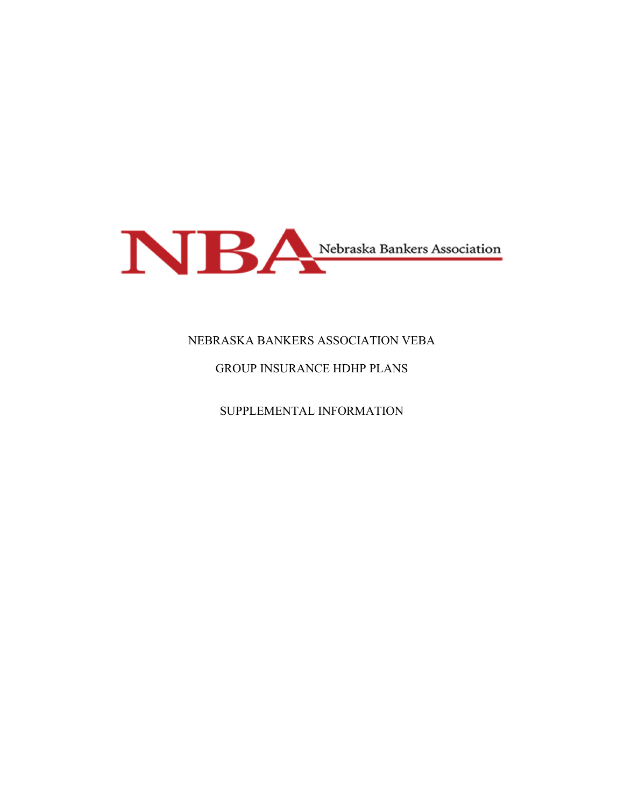

# NEBRASKA BANKERS ASSOCIATION VEBA

# GROUP INSURANCE HDHP PLANS

SUPPLEMENTAL INFORMATION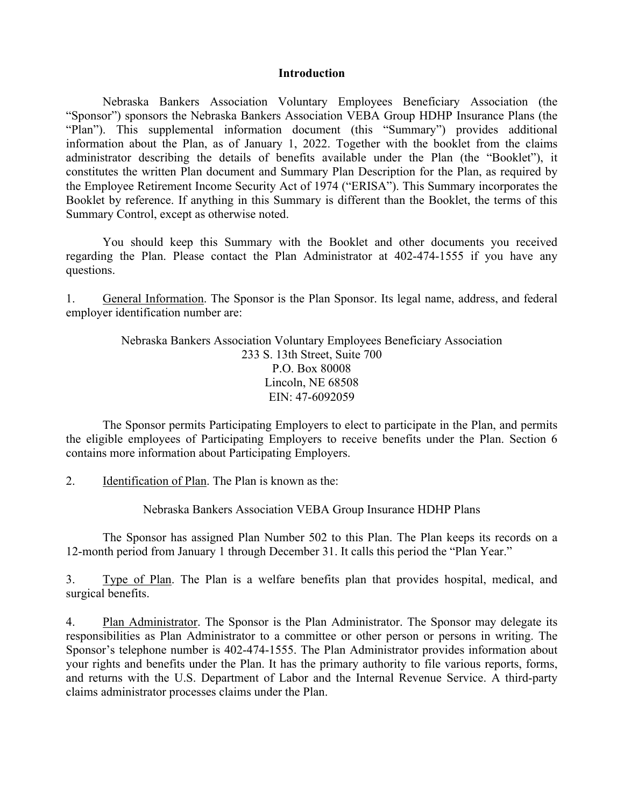#### **Introduction**

Nebraska Bankers Association Voluntary Employees Beneficiary Association (the "Sponsor") sponsors the Nebraska Bankers Association VEBA Group HDHP Insurance Plans (the "Plan"). This supplemental information document (this "Summary") provides additional information about the Plan, as of January 1, 2022. Together with the booklet from the claims administrator describing the details of benefits available under the Plan (the "Booklet"), it constitutes the written Plan document and Summary Plan Description for the Plan, as required by the Employee Retirement Income Security Act of 1974 ("ERISA"). This Summary incorporates the Booklet by reference. If anything in this Summary is different than the Booklet, the terms of this Summary Control, except as otherwise noted.

You should keep this Summary with the Booklet and other documents you received regarding the Plan. Please contact the Plan Administrator at 402-474-1555 if you have any questions.

1. General Information. The Sponsor is the Plan Sponsor. Its legal name, address, and federal employer identification number are:

> Nebraska Bankers Association Voluntary Employees Beneficiary Association 233 S. 13th Street, Suite 700 P.O. Box 80008 Lincoln, NE 68508 EIN: 47-6092059

The Sponsor permits Participating Employers to elect to participate in the Plan, and permits the eligible employees of Participating Employers to receive benefits under the Plan. Section 6 contains more information about Participating Employers.

2. Identification of Plan. The Plan is known as the:

Nebraska Bankers Association VEBA Group Insurance HDHP Plans

 The Sponsor has assigned Plan Number 502 to this Plan. The Plan keeps its records on a 12-month period from January 1 through December 31. It calls this period the "Plan Year."

3. Type of Plan. The Plan is a welfare benefits plan that provides hospital, medical, and surgical benefits.

4. Plan Administrator. The Sponsor is the Plan Administrator. The Sponsor may delegate its responsibilities as Plan Administrator to a committee or other person or persons in writing. The Sponsor's telephone number is 402-474-1555. The Plan Administrator provides information about your rights and benefits under the Plan. It has the primary authority to file various reports, forms, and returns with the U.S. Department of Labor and the Internal Revenue Service. A third-party claims administrator processes claims under the Plan.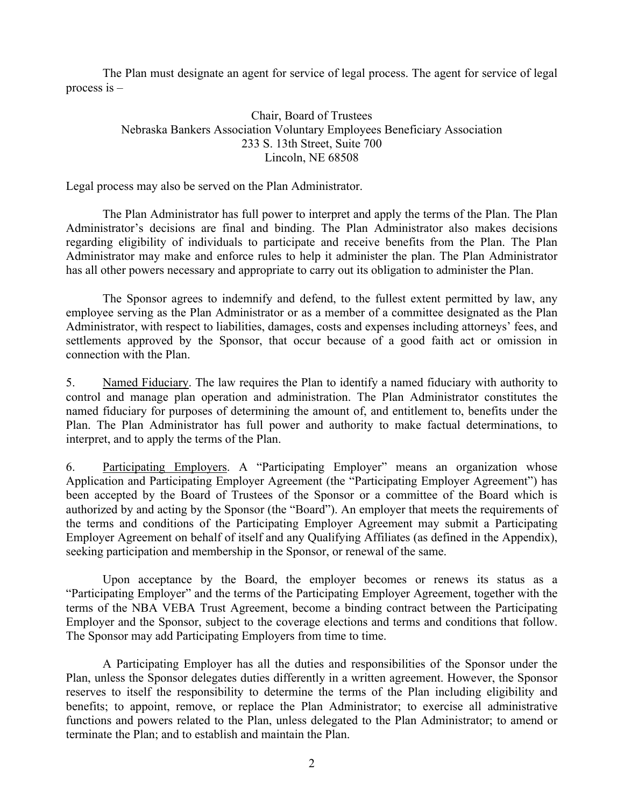The Plan must designate an agent for service of legal process. The agent for service of legal process is –

# Chair, Board of Trustees Nebraska Bankers Association Voluntary Employees Beneficiary Association 233 S. 13th Street, Suite 700 Lincoln, NE 68508

Legal process may also be served on the Plan Administrator.

 The Plan Administrator has full power to interpret and apply the terms of the Plan. The Plan Administrator's decisions are final and binding. The Plan Administrator also makes decisions regarding eligibility of individuals to participate and receive benefits from the Plan. The Plan Administrator may make and enforce rules to help it administer the plan. The Plan Administrator has all other powers necessary and appropriate to carry out its obligation to administer the Plan.

 The Sponsor agrees to indemnify and defend, to the fullest extent permitted by law, any employee serving as the Plan Administrator or as a member of a committee designated as the Plan Administrator, with respect to liabilities, damages, costs and expenses including attorneys' fees, and settlements approved by the Sponsor, that occur because of a good faith act or omission in connection with the Plan.

5. Named Fiduciary. The law requires the Plan to identify a named fiduciary with authority to control and manage plan operation and administration. The Plan Administrator constitutes the named fiduciary for purposes of determining the amount of, and entitlement to, benefits under the Plan. The Plan Administrator has full power and authority to make factual determinations, to interpret, and to apply the terms of the Plan.

6. Participating Employers. A "Participating Employer" means an organization whose Application and Participating Employer Agreement (the "Participating Employer Agreement") has been accepted by the Board of Trustees of the Sponsor or a committee of the Board which is authorized by and acting by the Sponsor (the "Board"). An employer that meets the requirements of the terms and conditions of the Participating Employer Agreement may submit a Participating Employer Agreement on behalf of itself and any Qualifying Affiliates (as defined in the Appendix), seeking participation and membership in the Sponsor, or renewal of the same.

Upon acceptance by the Board, the employer becomes or renews its status as a "Participating Employer" and the terms of the Participating Employer Agreement, together with the terms of the NBA VEBA Trust Agreement, become a binding contract between the Participating Employer and the Sponsor, subject to the coverage elections and terms and conditions that follow. The Sponsor may add Participating Employers from time to time.

A Participating Employer has all the duties and responsibilities of the Sponsor under the Plan, unless the Sponsor delegates duties differently in a written agreement. However, the Sponsor reserves to itself the responsibility to determine the terms of the Plan including eligibility and benefits; to appoint, remove, or replace the Plan Administrator; to exercise all administrative functions and powers related to the Plan, unless delegated to the Plan Administrator; to amend or terminate the Plan; and to establish and maintain the Plan.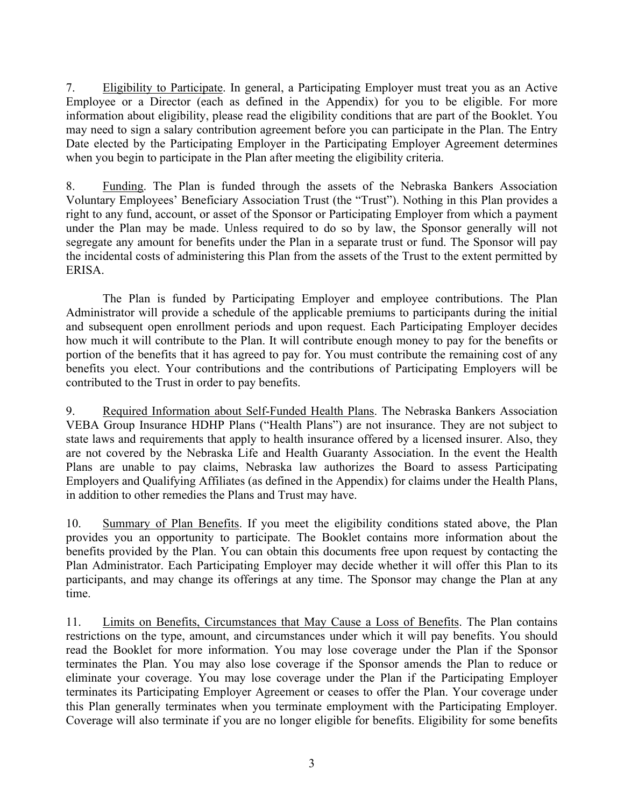7. Eligibility to Participate. In general, a Participating Employer must treat you as an Active Employee or a Director (each as defined in the Appendix) for you to be eligible. For more information about eligibility, please read the eligibility conditions that are part of the Booklet. You may need to sign a salary contribution agreement before you can participate in the Plan. The Entry Date elected by the Participating Employer in the Participating Employer Agreement determines when you begin to participate in the Plan after meeting the eligibility criteria.

8. Funding. The Plan is funded through the assets of the Nebraska Bankers Association Voluntary Employees' Beneficiary Association Trust (the "Trust"). Nothing in this Plan provides a right to any fund, account, or asset of the Sponsor or Participating Employer from which a payment under the Plan may be made. Unless required to do so by law, the Sponsor generally will not segregate any amount for benefits under the Plan in a separate trust or fund. The Sponsor will pay the incidental costs of administering this Plan from the assets of the Trust to the extent permitted by ERISA.

The Plan is funded by Participating Employer and employee contributions. The Plan Administrator will provide a schedule of the applicable premiums to participants during the initial and subsequent open enrollment periods and upon request. Each Participating Employer decides how much it will contribute to the Plan. It will contribute enough money to pay for the benefits or portion of the benefits that it has agreed to pay for. You must contribute the remaining cost of any benefits you elect. Your contributions and the contributions of Participating Employers will be contributed to the Trust in order to pay benefits.

9. Required Information about Self-Funded Health Plans. The Nebraska Bankers Association VEBA Group Insurance HDHP Plans ("Health Plans") are not insurance. They are not subject to state laws and requirements that apply to health insurance offered by a licensed insurer. Also, they are not covered by the Nebraska Life and Health Guaranty Association. In the event the Health Plans are unable to pay claims, Nebraska law authorizes the Board to assess Participating Employers and Qualifying Affiliates (as defined in the Appendix) for claims under the Health Plans, in addition to other remedies the Plans and Trust may have.

10. Summary of Plan Benefits. If you meet the eligibility conditions stated above, the Plan provides you an opportunity to participate. The Booklet contains more information about the benefits provided by the Plan. You can obtain this documents free upon request by contacting the Plan Administrator. Each Participating Employer may decide whether it will offer this Plan to its participants, and may change its offerings at any time. The Sponsor may change the Plan at any time.

11. Limits on Benefits, Circumstances that May Cause a Loss of Benefits. The Plan contains restrictions on the type, amount, and circumstances under which it will pay benefits. You should read the Booklet for more information. You may lose coverage under the Plan if the Sponsor terminates the Plan. You may also lose coverage if the Sponsor amends the Plan to reduce or eliminate your coverage. You may lose coverage under the Plan if the Participating Employer terminates its Participating Employer Agreement or ceases to offer the Plan. Your coverage under this Plan generally terminates when you terminate employment with the Participating Employer. Coverage will also terminate if you are no longer eligible for benefits. Eligibility for some benefits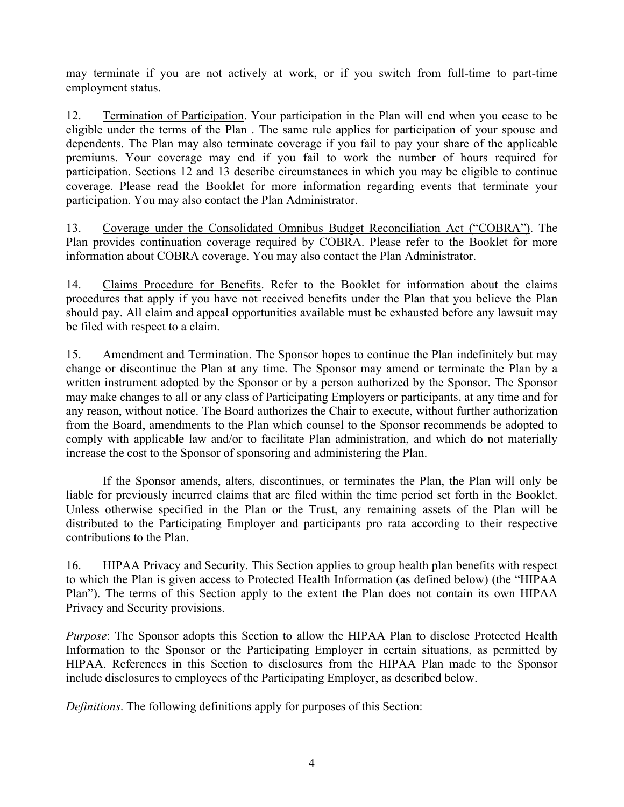may terminate if you are not actively at work, or if you switch from full-time to part-time employment status.

12. Termination of Participation. Your participation in the Plan will end when you cease to be eligible under the terms of the Plan . The same rule applies for participation of your spouse and dependents. The Plan may also terminate coverage if you fail to pay your share of the applicable premiums. Your coverage may end if you fail to work the number of hours required for participation. Sections 12 and 13 describe circumstances in which you may be eligible to continue coverage. Please read the Booklet for more information regarding events that terminate your participation. You may also contact the Plan Administrator.

13. Coverage under the Consolidated Omnibus Budget Reconciliation Act ("COBRA"). The Plan provides continuation coverage required by COBRA. Please refer to the Booklet for more information about COBRA coverage. You may also contact the Plan Administrator.

14. Claims Procedure for Benefits. Refer to the Booklet for information about the claims procedures that apply if you have not received benefits under the Plan that you believe the Plan should pay. All claim and appeal opportunities available must be exhausted before any lawsuit may be filed with respect to a claim.

15. Amendment and Termination. The Sponsor hopes to continue the Plan indefinitely but may change or discontinue the Plan at any time. The Sponsor may amend or terminate the Plan by a written instrument adopted by the Sponsor or by a person authorized by the Sponsor. The Sponsor may make changes to all or any class of Participating Employers or participants, at any time and for any reason, without notice. The Board authorizes the Chair to execute, without further authorization from the Board, amendments to the Plan which counsel to the Sponsor recommends be adopted to comply with applicable law and/or to facilitate Plan administration, and which do not materially increase the cost to the Sponsor of sponsoring and administering the Plan.

 If the Sponsor amends, alters, discontinues, or terminates the Plan, the Plan will only be liable for previously incurred claims that are filed within the time period set forth in the Booklet. Unless otherwise specified in the Plan or the Trust, any remaining assets of the Plan will be distributed to the Participating Employer and participants pro rata according to their respective contributions to the Plan.

16. HIPAA Privacy and Security. This Section applies to group health plan benefits with respect to which the Plan is given access to Protected Health Information (as defined below) (the "HIPAA Plan"). The terms of this Section apply to the extent the Plan does not contain its own HIPAA Privacy and Security provisions.

*Purpose*: The Sponsor adopts this Section to allow the HIPAA Plan to disclose Protected Health Information to the Sponsor or the Participating Employer in certain situations, as permitted by HIPAA. References in this Section to disclosures from the HIPAA Plan made to the Sponsor include disclosures to employees of the Participating Employer, as described below.

*Definitions*. The following definitions apply for purposes of this Section: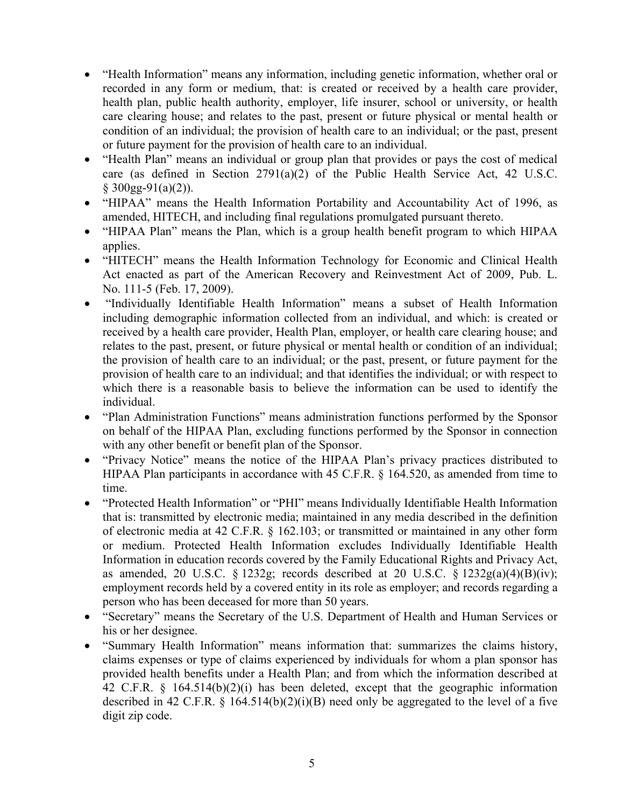- "Health Information" means any information, including genetic information, whether oral or recorded in any form or medium, that: is created or received by a health care provider, health plan, public health authority, employer, life insurer, school or university, or health care clearing house; and relates to the past, present or future physical or mental health or condition of an individual; the provision of health care to an individual; or the past, present or future payment for the provision of health care to an individual.
- "Health Plan" means an individual or group plan that provides or pays the cost of medical care (as defined in Section 2791(a)(2) of the Public Health Service Act, 42 U.S.C.  $§$  300gg-91(a)(2)).
- "HIPAA" means the Health Information Portability and Accountability Act of 1996, as amended, HITECH, and including final regulations promulgated pursuant thereto.
- "HIPAA Plan" means the Plan, which is a group health benefit program to which HIPAA applies.
- "HITECH" means the Health Information Technology for Economic and Clinical Health Act enacted as part of the American Recovery and Reinvestment Act of 2009, Pub. L. No. 111-5 (Feb. 17, 2009).
- "Individually Identifiable Health Information" means a subset of Health Information including demographic information collected from an individual, and which: is created or received by a health care provider, Health Plan, employer, or health care clearing house; and relates to the past, present, or future physical or mental health or condition of an individual; the provision of health care to an individual; or the past, present, or future payment for the provision of health care to an individual; and that identifies the individual; or with respect to which there is a reasonable basis to believe the information can be used to identify the individual.
- "Plan Administration Functions" means administration functions performed by the Sponsor on behalf of the HIPAA Plan, excluding functions performed by the Sponsor in connection with any other benefit or benefit plan of the Sponsor.
- "Privacy Notice" means the notice of the HIPAA Plan's privacy practices distributed to HIPAA Plan participants in accordance with 45 C.F.R. § 164.520, as amended from time to time.
- "Protected Health Information" or "PHI" means Individually Identifiable Health Information that is: transmitted by electronic media; maintained in any media described in the definition of electronic media at 42 C.F.R. § 162.103; or transmitted or maintained in any other form or medium. Protected Health Information excludes Individually Identifiable Health Information in education records covered by the Family Educational Rights and Privacy Act, as amended, 20 U.S.C. § 1232g; records described at 20 U.S.C. § 1232g(a)(4)(B)(iv); employment records held by a covered entity in its role as employer; and records regarding a person who has been deceased for more than 50 years.
- "Secretary" means the Secretary of the U.S. Department of Health and Human Services or his or her designee.
- "Summary Health Information" means information that: summarizes the claims history, claims expenses or type of claims experienced by individuals for whom a plan sponsor has provided health benefits under a Health Plan; and from which the information described at 42 C.F.R. § 164.514(b)(2)(i) has been deleted, except that the geographic information described in 42 C.F.R.  $\S$  164.514(b)(2)(i)(B) need only be aggregated to the level of a five digit zip code.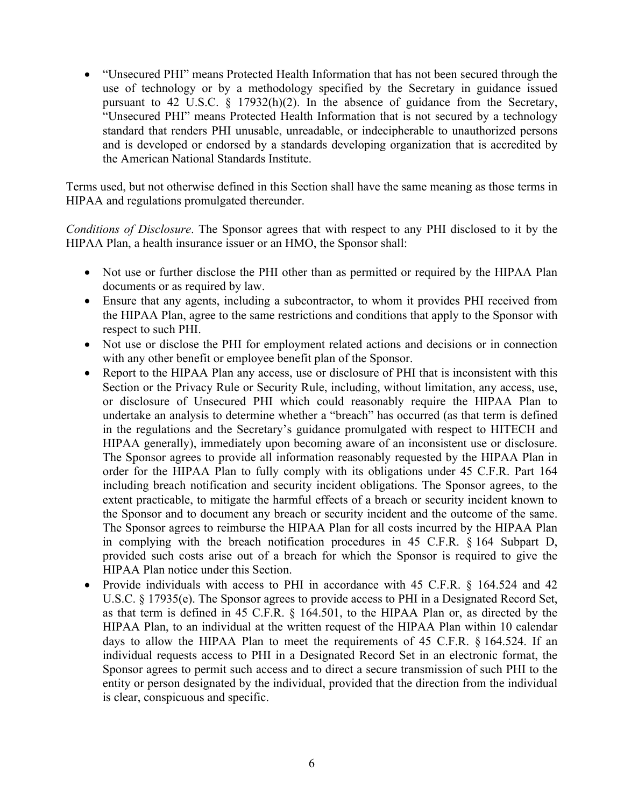"Unsecured PHI" means Protected Health Information that has not been secured through the use of technology or by a methodology specified by the Secretary in guidance issued pursuant to 42 U.S.C.  $\S$  17932(h)(2). In the absence of guidance from the Secretary, "Unsecured PHI" means Protected Health Information that is not secured by a technology standard that renders PHI unusable, unreadable, or indecipherable to unauthorized persons and is developed or endorsed by a standards developing organization that is accredited by the American National Standards Institute.

Terms used, but not otherwise defined in this Section shall have the same meaning as those terms in HIPAA and regulations promulgated thereunder.

*Conditions of Disclosure*. The Sponsor agrees that with respect to any PHI disclosed to it by the HIPAA Plan, a health insurance issuer or an HMO, the Sponsor shall:

- Not use or further disclose the PHI other than as permitted or required by the HIPAA Plan documents or as required by law.
- Ensure that any agents, including a subcontractor, to whom it provides PHI received from the HIPAA Plan, agree to the same restrictions and conditions that apply to the Sponsor with respect to such PHI.
- Not use or disclose the PHI for employment related actions and decisions or in connection with any other benefit or employee benefit plan of the Sponsor.
- Report to the HIPAA Plan any access, use or disclosure of PHI that is inconsistent with this Section or the Privacy Rule or Security Rule, including, without limitation, any access, use, or disclosure of Unsecured PHI which could reasonably require the HIPAA Plan to undertake an analysis to determine whether a "breach" has occurred (as that term is defined in the regulations and the Secretary's guidance promulgated with respect to HITECH and HIPAA generally), immediately upon becoming aware of an inconsistent use or disclosure. The Sponsor agrees to provide all information reasonably requested by the HIPAA Plan in order for the HIPAA Plan to fully comply with its obligations under 45 C.F.R. Part 164 including breach notification and security incident obligations. The Sponsor agrees, to the extent practicable, to mitigate the harmful effects of a breach or security incident known to the Sponsor and to document any breach or security incident and the outcome of the same. The Sponsor agrees to reimburse the HIPAA Plan for all costs incurred by the HIPAA Plan in complying with the breach notification procedures in 45 C.F.R. § 164 Subpart D, provided such costs arise out of a breach for which the Sponsor is required to give the HIPAA Plan notice under this Section.
- Provide individuals with access to PHI in accordance with 45 C.F.R. § 164.524 and 42 U.S.C. § 17935(e). The Sponsor agrees to provide access to PHI in a Designated Record Set, as that term is defined in 45 C.F.R. § 164.501, to the HIPAA Plan or, as directed by the HIPAA Plan, to an individual at the written request of the HIPAA Plan within 10 calendar days to allow the HIPAA Plan to meet the requirements of 45 C.F.R. § 164.524. If an individual requests access to PHI in a Designated Record Set in an electronic format, the Sponsor agrees to permit such access and to direct a secure transmission of such PHI to the entity or person designated by the individual, provided that the direction from the individual is clear, conspicuous and specific.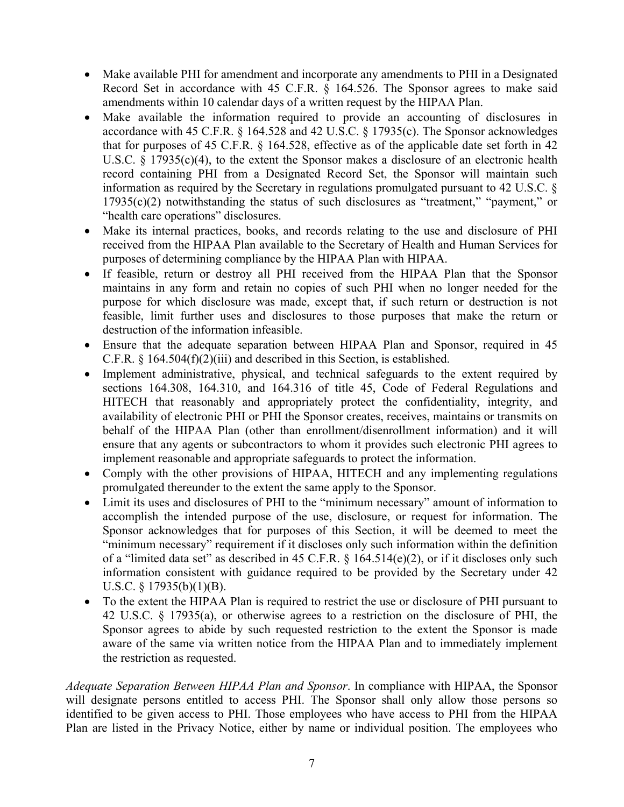- Make available PHI for amendment and incorporate any amendments to PHI in a Designated Record Set in accordance with 45 C.F.R. § 164.526. The Sponsor agrees to make said amendments within 10 calendar days of a written request by the HIPAA Plan.
- Make available the information required to provide an accounting of disclosures in accordance with 45 C.F.R. § 164.528 and 42 U.S.C. § 17935(c). The Sponsor acknowledges that for purposes of 45 C.F.R. § 164.528, effective as of the applicable date set forth in 42 U.S.C. § 17935(c)(4), to the extent the Sponsor makes a disclosure of an electronic health record containing PHI from a Designated Record Set, the Sponsor will maintain such information as required by the Secretary in regulations promulgated pursuant to 42 U.S.C. § 17935(c)(2) notwithstanding the status of such disclosures as "treatment," "payment," or "health care operations" disclosures.
- Make its internal practices, books, and records relating to the use and disclosure of PHI received from the HIPAA Plan available to the Secretary of Health and Human Services for purposes of determining compliance by the HIPAA Plan with HIPAA.
- If feasible, return or destroy all PHI received from the HIPAA Plan that the Sponsor maintains in any form and retain no copies of such PHI when no longer needed for the purpose for which disclosure was made, except that, if such return or destruction is not feasible, limit further uses and disclosures to those purposes that make the return or destruction of the information infeasible.
- Ensure that the adequate separation between HIPAA Plan and Sponsor, required in 45 C.F.R.  $\S$  164.504(f)(2)(iii) and described in this Section, is established.
- Implement administrative, physical, and technical safeguards to the extent required by sections 164.308, 164.310, and 164.316 of title 45, Code of Federal Regulations and HITECH that reasonably and appropriately protect the confidentiality, integrity, and availability of electronic PHI or PHI the Sponsor creates, receives, maintains or transmits on behalf of the HIPAA Plan (other than enrollment/disenrollment information) and it will ensure that any agents or subcontractors to whom it provides such electronic PHI agrees to implement reasonable and appropriate safeguards to protect the information.
- Comply with the other provisions of HIPAA, HITECH and any implementing regulations promulgated thereunder to the extent the same apply to the Sponsor.
- Limit its uses and disclosures of PHI to the "minimum necessary" amount of information to accomplish the intended purpose of the use, disclosure, or request for information. The Sponsor acknowledges that for purposes of this Section, it will be deemed to meet the "minimum necessary" requirement if it discloses only such information within the definition of a "limited data set" as described in 45 C.F.R. § 164.514(e)(2), or if it discloses only such information consistent with guidance required to be provided by the Secretary under 42 U.S.C.  $\S$  17935(b)(1)(B).
- To the extent the HIPAA Plan is required to restrict the use or disclosure of PHI pursuant to 42 U.S.C. § 17935(a), or otherwise agrees to a restriction on the disclosure of PHI, the Sponsor agrees to abide by such requested restriction to the extent the Sponsor is made aware of the same via written notice from the HIPAA Plan and to immediately implement the restriction as requested.

*Adequate Separation Between HIPAA Plan and Sponsor*. In compliance with HIPAA, the Sponsor will designate persons entitled to access PHI. The Sponsor shall only allow those persons so identified to be given access to PHI. Those employees who have access to PHI from the HIPAA Plan are listed in the Privacy Notice, either by name or individual position. The employees who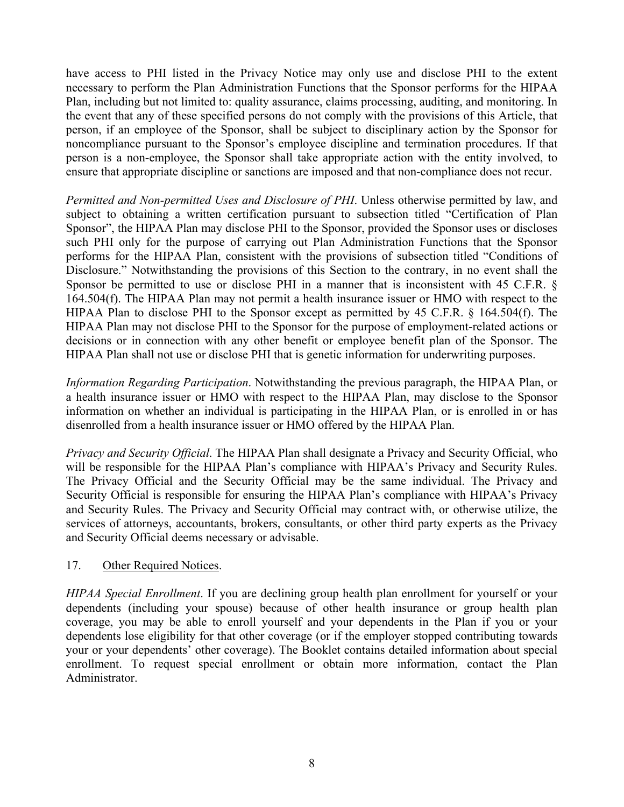have access to PHI listed in the Privacy Notice may only use and disclose PHI to the extent necessary to perform the Plan Administration Functions that the Sponsor performs for the HIPAA Plan, including but not limited to: quality assurance, claims processing, auditing, and monitoring. In the event that any of these specified persons do not comply with the provisions of this Article, that person, if an employee of the Sponsor, shall be subject to disciplinary action by the Sponsor for noncompliance pursuant to the Sponsor's employee discipline and termination procedures. If that person is a non-employee, the Sponsor shall take appropriate action with the entity involved, to ensure that appropriate discipline or sanctions are imposed and that non-compliance does not recur.

*Permitted and Non-permitted Uses and Disclosure of PHI*. Unless otherwise permitted by law, and subject to obtaining a written certification pursuant to subsection titled "Certification of Plan Sponsor", the HIPAA Plan may disclose PHI to the Sponsor, provided the Sponsor uses or discloses such PHI only for the purpose of carrying out Plan Administration Functions that the Sponsor performs for the HIPAA Plan, consistent with the provisions of subsection titled "Conditions of Disclosure." Notwithstanding the provisions of this Section to the contrary, in no event shall the Sponsor be permitted to use or disclose PHI in a manner that is inconsistent with 45 C.F.R. § 164.504(f). The HIPAA Plan may not permit a health insurance issuer or HMO with respect to the HIPAA Plan to disclose PHI to the Sponsor except as permitted by 45 C.F.R. § 164.504(f). The HIPAA Plan may not disclose PHI to the Sponsor for the purpose of employment-related actions or decisions or in connection with any other benefit or employee benefit plan of the Sponsor. The HIPAA Plan shall not use or disclose PHI that is genetic information for underwriting purposes.

*Information Regarding Participation*. Notwithstanding the previous paragraph, the HIPAA Plan, or a health insurance issuer or HMO with respect to the HIPAA Plan, may disclose to the Sponsor information on whether an individual is participating in the HIPAA Plan, or is enrolled in or has disenrolled from a health insurance issuer or HMO offered by the HIPAA Plan.

*Privacy and Security Official*. The HIPAA Plan shall designate a Privacy and Security Official, who will be responsible for the HIPAA Plan's compliance with HIPAA's Privacy and Security Rules. The Privacy Official and the Security Official may be the same individual. The Privacy and Security Official is responsible for ensuring the HIPAA Plan's compliance with HIPAA's Privacy and Security Rules. The Privacy and Security Official may contract with, or otherwise utilize, the services of attorneys, accountants, brokers, consultants, or other third party experts as the Privacy and Security Official deems necessary or advisable.

#### 17. Other Required Notices.

*HIPAA Special Enrollment*. If you are declining group health plan enrollment for yourself or your dependents (including your spouse) because of other health insurance or group health plan coverage, you may be able to enroll yourself and your dependents in the Plan if you or your dependents lose eligibility for that other coverage (or if the employer stopped contributing towards your or your dependents' other coverage). The Booklet contains detailed information about special enrollment. To request special enrollment or obtain more information, contact the Plan Administrator.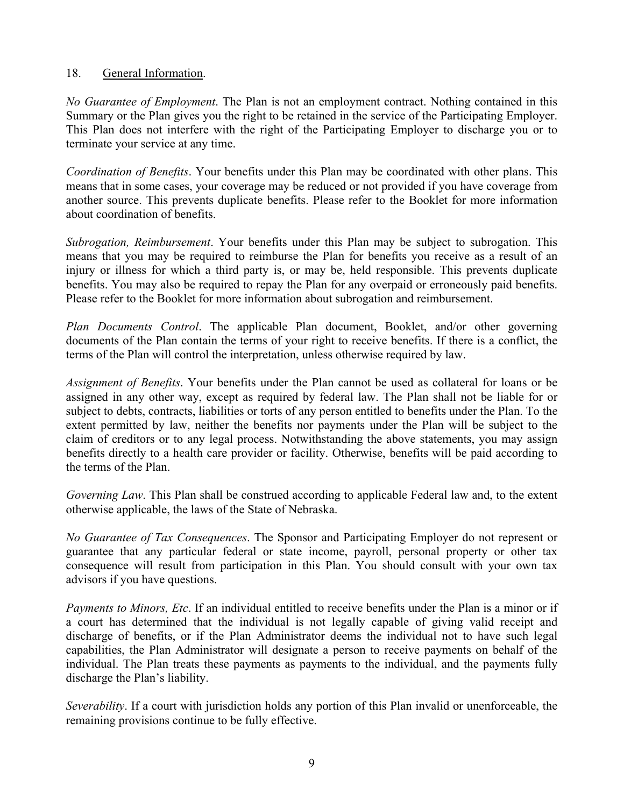## 18. General Information.

*No Guarantee of Employment*. The Plan is not an employment contract. Nothing contained in this Summary or the Plan gives you the right to be retained in the service of the Participating Employer. This Plan does not interfere with the right of the Participating Employer to discharge you or to terminate your service at any time.

*Coordination of Benefits*. Your benefits under this Plan may be coordinated with other plans. This means that in some cases, your coverage may be reduced or not provided if you have coverage from another source. This prevents duplicate benefits. Please refer to the Booklet for more information about coordination of benefits.

*Subrogation, Reimbursement*. Your benefits under this Plan may be subject to subrogation. This means that you may be required to reimburse the Plan for benefits you receive as a result of an injury or illness for which a third party is, or may be, held responsible. This prevents duplicate benefits. You may also be required to repay the Plan for any overpaid or erroneously paid benefits. Please refer to the Booklet for more information about subrogation and reimbursement.

*Plan Documents Control*. The applicable Plan document, Booklet, and/or other governing documents of the Plan contain the terms of your right to receive benefits. If there is a conflict, the terms of the Plan will control the interpretation, unless otherwise required by law.

*Assignment of Benefits*. Your benefits under the Plan cannot be used as collateral for loans or be assigned in any other way, except as required by federal law. The Plan shall not be liable for or subject to debts, contracts, liabilities or torts of any person entitled to benefits under the Plan. To the extent permitted by law, neither the benefits nor payments under the Plan will be subject to the claim of creditors or to any legal process. Notwithstanding the above statements, you may assign benefits directly to a health care provider or facility. Otherwise, benefits will be paid according to the terms of the Plan.

*Governing Law*. This Plan shall be construed according to applicable Federal law and, to the extent otherwise applicable, the laws of the State of Nebraska.

*No Guarantee of Tax Consequences*. The Sponsor and Participating Employer do not represent or guarantee that any particular federal or state income, payroll, personal property or other tax consequence will result from participation in this Plan. You should consult with your own tax advisors if you have questions.

*Payments to Minors, Etc*. If an individual entitled to receive benefits under the Plan is a minor or if a court has determined that the individual is not legally capable of giving valid receipt and discharge of benefits, or if the Plan Administrator deems the individual not to have such legal capabilities, the Plan Administrator will designate a person to receive payments on behalf of the individual. The Plan treats these payments as payments to the individual, and the payments fully discharge the Plan's liability.

*Severability*. If a court with jurisdiction holds any portion of this Plan invalid or unenforceable, the remaining provisions continue to be fully effective.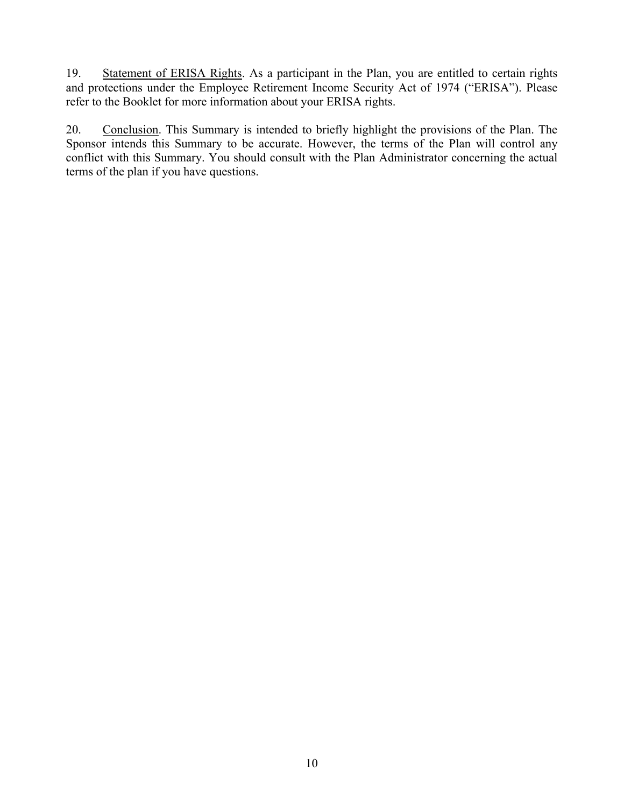19. Statement of ERISA Rights. As a participant in the Plan, you are entitled to certain rights and protections under the Employee Retirement Income Security Act of 1974 ("ERISA"). Please refer to the Booklet for more information about your ERISA rights.

20. Conclusion. This Summary is intended to briefly highlight the provisions of the Plan. The Sponsor intends this Summary to be accurate. However, the terms of the Plan will control any conflict with this Summary. You should consult with the Plan Administrator concerning the actual terms of the plan if you have questions.